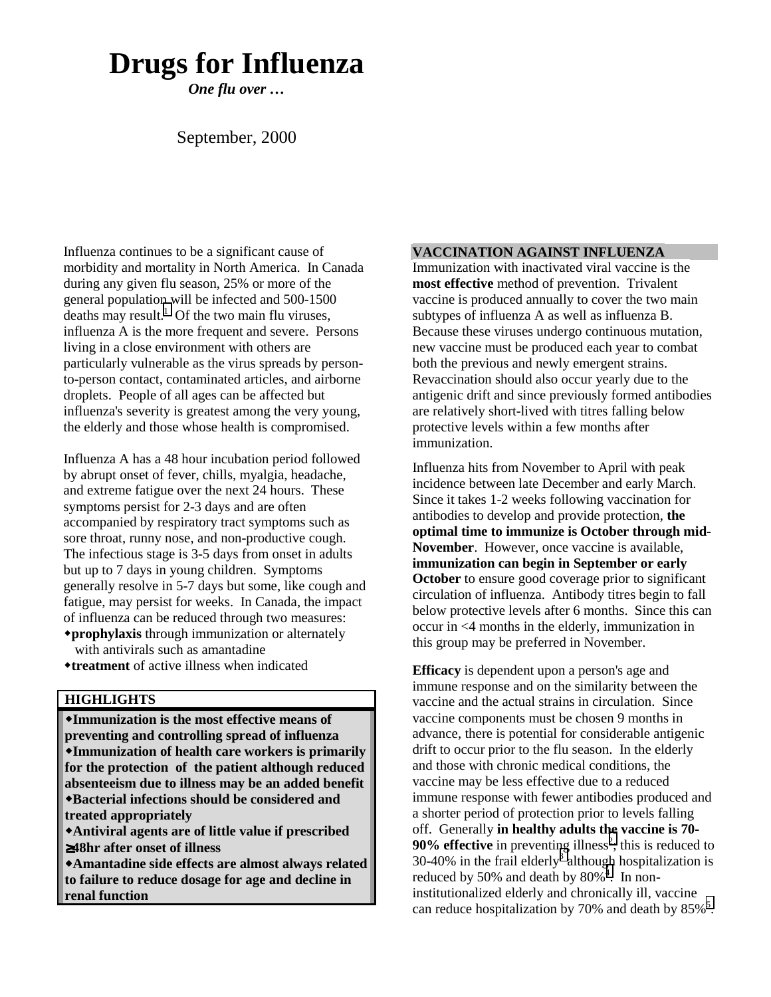# **Drugs for Influenza**

*One flu over …*

# September, 2000

Influenza continues to be a significant cause of morbidity and mortality in North America. In Canada during any given flu season, 25% or more of the general population will be infected and 500-1500 deaths may result.<sup>1</sup> Of the two main flu viruses, influenza A is the more frequent and severe. Persons living in a close environment with others are particularly vulnerable as the virus spreads by personto-person contact, contaminated articles, and airborne droplets. People of all ages can be affected but influenza's severity is greatest among the very young, the elderly and those whose health is compromised.

Influenza A has a 48 hour incubation period followed by abrupt onset of fever, chills, myalgia, headache, and extreme fatigue over the next 24 hours. These symptoms persist for 2-3 days and are often accompanied by respiratory tract symptoms such as sore throat, runny nose, and non-productive cough. The infectious stage is 3-5 days from onset in adults but up to 7 days in young children. Symptoms generally resolve in 5-7 days but some, like cough and fatigue, may persist for weeks. In Canada, the impact of influenza can be reduced through two measures:

- **prophylaxis** through immunization or alternately with antivirals such as amantadine
- **treatment** of active illness when indicated

### **HIGHLIGHTS**

**Immunization is the most effective means of preventing and controlling spread of influenza Immunization of health care workers is primarily for the protection of the patient although reduced absenteeism due to illness may be an added benefit Bacterial infections should be considered and treated appropriately Antiviral agents are of little value if prescribed** ≥**48hr after onset of illness**

**Amantadine side effects are almost always related to failure to reduce dosage for age and decline in renal function**

#### **VACCINATION AGAINST INFLUENZA**

Immunization with inactivated viral vaccine is the **most effective** method of prevention. Trivalent vaccine is produced annually to cover the two main subtypes of influenza A as well as influenza B. Because these viruses undergo continuous mutation, new vaccine must be produced each year to combat both the previous and newly emergent strains. Revaccination should also occur yearly due to the antigenic drift and since previously formed antibodies are relatively short-lived with titres falling below protective levels within a few months after immunization.

Influenza hits from November to April with peak incidence between late December and early March. Since it takes 1-2 weeks following vaccination for antibodies to develop and provide protection, **the optimal time to immunize is October through mid-November**. However, once vaccine is available, **immunization can begin in September or early October** to ensure good coverage prior to significant circulation of influenza. Antibody titres begin to fall below protective levels after 6 months. Since this can occur in <4 months in the elderly, immunization in this group may be preferred in November.

**Efficacy** is dependent upon a person's age and immune response and on the similarity between the vaccine and the actual strains in circulation. Since vaccine components must be chosen 9 months in advance, there is potential for considerable antigenic drift to occur prior to the flu season. In the elderly and those with chronic medical conditions, the vaccine may be less effective due to a reduced immune response with fewer antibodies produced and a shorter period of protection prior to levels falling off. Generally **in healthy adults t[he](#page-4-0) vaccine is 70- 90% effective** in preventi[ng](#page-4-0) illness<sup>2</sup>; this is reduced to 30-40% in the frail elderly<sup>3</sup> although hospitalization is reduced by 50% and death by  $80\%$ <sup>[4](#page-4-0)</sup>. In noninstitutionalized elderly and chronically ill, vaccine can reduce hospitalization by 70% and death by  $85\%$ <sup>5</sup>.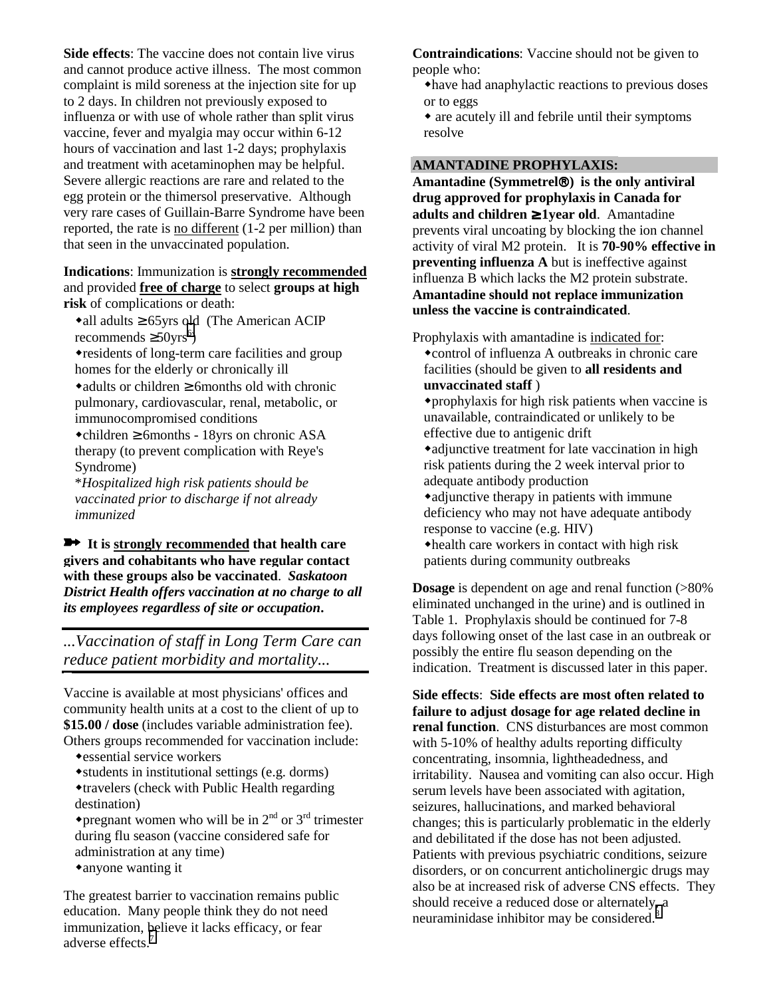**Side effects**: The vaccine does not contain live virus and cannot produce active illness. The most common complaint is mild soreness at the injection site for up to 2 days. In children not previously exposed to influenza or with use of whole rather than split virus vaccine, fever and myalgia may occur within 6-12 hours of vaccination and last 1-2 days; prophylaxis and treatment with acetaminophen may be helpful. Severe allergic reactions are rare and related to the egg protein or the thimersol preservative. Although very rare cases of Guillain-Barre Syndrome have been reported, the rate is no different (1-2 per million) than that seen in the unvaccinated population.

#### **Indications**: Immunization is **strongly recommended** and provided **free of charge** to select **groups at high risk** of complications or death:

• all adults  $\geq 65$ yrs old (The American ACIP recommends  $\geq$ 50yrs<sup>[6](#page-4-0)</sup>)

residents of long-term care facilities and group homes for the elderly or chronically ill

 $\triangle$ adults or children  $\geq$  6 months old with chronic pulmonary, cardiovascular, renal, metabolic, or immunocompromised conditions

children ≥ 6months - 18yrs on chronic ASA therapy (to prevent complication with Reye's Syndrome)

\**Hospitalized high risk patients should be vaccinated prior to discharge if not already immunized*

 **It is strongly recommended that health care givers and cohabitants who have regular contact with these groups also be vaccinated**. *Saskatoon District Health offers vaccination at no charge to all its employees regardless of site or occupation***.**

*...Vaccination of staff in Long Term Care can reduce patient morbidity and mortality...*

Vaccine is available at most physicians' offices and community health units at a cost to the client of up to **\$15.00 / dose** (includes variable administration fee). Others groups recommended for vaccination include:

- essential service workers
- students in institutional settings (e.g. dorms)
- travelers (check with Public Health regarding destination)
- $\triangle$ pregnant women who will be in  $2<sup>nd</sup>$  or  $3<sup>rd</sup>$  trimester during flu season (vaccine considered safe for administration at any time) anyone wanting it

The greatest barrier to vaccination remains public education. Many people think they do not need immunization, believe it lacks efficacy, or fear adverse effects.<sup>[7](#page-4-0)</sup>

**Contraindications**: Vaccine should not be given to people who:

- have had anaphylactic reactions to previous doses or to eggs
- are acutely ill and febrile until their symptoms resolve

#### **AMANTADINE PROPHYLAXIS:**

**Amantadine (Symmetrel) is the only antiviral drug approved for prophylaxis in Canada for adults and children** ≥ **1year old**. Amantadine prevents viral uncoating by blocking the ion channel activity of viral M2 protein. It is **70-90% effective in preventing influenza A** but is ineffective against influenza B which lacks the M2 protein substrate. **Amantadine should not replace immunization unless the vaccine is contraindicated**.

Prophylaxis with amantadine is indicated for: control of influenza A outbreaks in chronic care facilities (should be given to **all residents and unvaccinated staff** )

prophylaxis for high risk patients when vaccine is unavailable, contraindicated or unlikely to be effective due to antigenic drift

adjunctive treatment for late vaccination in high risk patients during the 2 week interval prior to adequate antibody production

adjunctive therapy in patients with immune deficiency who may not have adequate antibody response to vaccine (e.g. HIV)

health care workers in contact with high risk patients during community outbreaks

**Dosage** is dependent on age and renal function (>80%) eliminated unchanged in the urine) and is outlined in Table 1. Prophylaxis should be continued for 7-8 days following onset of the last case in an outbreak or possibly the entire flu season depending on the indication. Treatment is discussed later in this paper.

**Side effects**: **Side effects are most often related to failure to adjust dosage for age related decline in renal function**. CNS disturbances are most common with 5-10% of healthy adults reporting difficulty concentrating, insomnia, lightheadedness, and irritability. Nausea and vomiting can also occur. High serum levels have been associated with agitation, seizures, hallucinations, and marked behavioral changes; this is particularly problematic in the elderly and debilitated if the dose has not been adjusted. Patients with previous psychiatric conditions, seizure disorders, or on concurrent anticholinergic drugs may also be at increased risk of adverse CNS effects. They should receive a reduced dose or alternately, a neuraminidase inhibitor may be considered.<sup>[8](#page-4-0)</sup>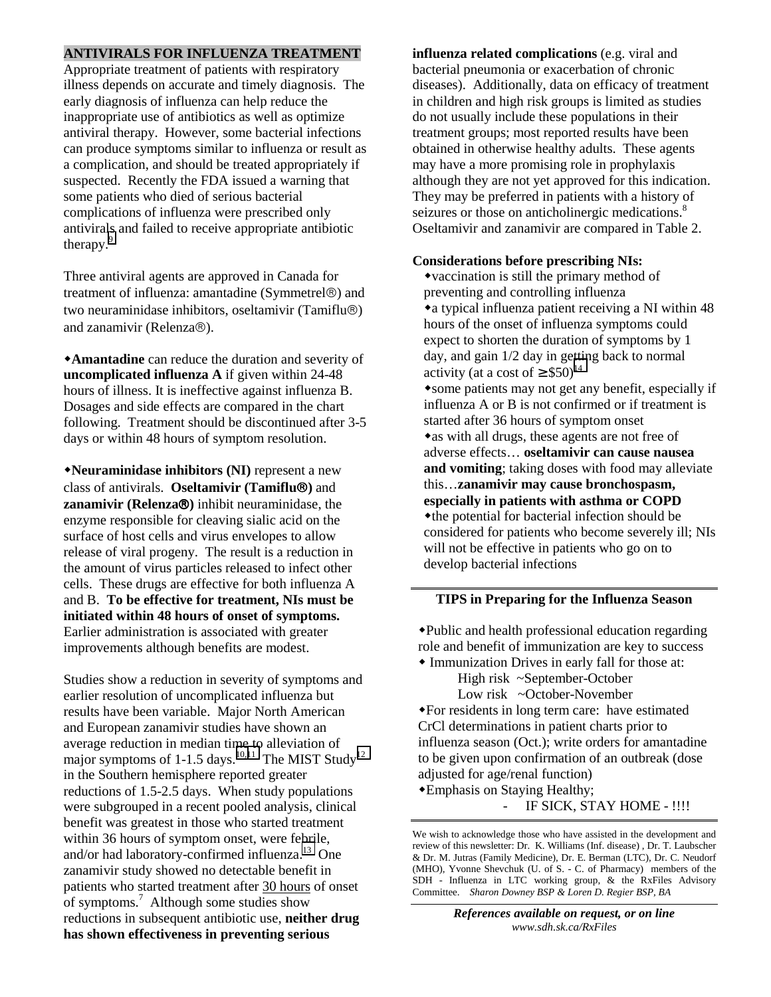#### **ANTIVIRALS FOR INFLUENZA TREATMENT**

Appropriate treatment of patients with respiratory illness depends on accurate and timely diagnosis. The early diagnosis of influenza can help reduce the inappropriate use of antibiotics as well as optimize antiviral therapy. However, some bacterial infections can produce symptoms similar to influenza or result as a complication, and should be treated appropriately if suspected. Recently the FDA issued a warning that some patients who died of serious bacterial complications of influenza were prescribed only antivirals and failed to receive appropriate antibiotic therapy.<sup>9</sup>

Three antiviral agents are approved in Canada for treatment of influenza: amantadine (Symmetrel<sup>®</sup>) and two neuraminidase inhibitors, oseltamivir (Tamiflu®) and zanamivir (Relenza®).

**Amantadine** can reduce the duration and severity of **uncomplicated influenza A** if given within 24-48 hours of illness. It is ineffective against influenza B. Dosages and side effects are compared in the chart following. Treatment should be discontinued after 3-5 days or within 48 hours of symptom resolution.

**Neuraminidase inhibitors (NI)** represent a new class of antivirals. **Oseltamivir (Tamiflu)** and **zanamivir (Relenza®)** inhibit neuraminidase, the enzyme responsible for cleaving sialic acid on the surface of host cells and virus envelopes to allow release of viral progeny. The result is a reduction in the amount of virus particles released to infect other cells. These drugs are effective for both influenza A and B. **To be effective for treatment, NIs must be initiated within 48 hours of onset of symptoms.** Earlier administration is associated with greater improvements although benefits are modest.

Studies show a reduction in severity of symptoms and earlier resolution of uncomplicated influenza but results have been variable. Major North American and European zanamivir studies have shown an average reduction in median time to alleviation of major symptoms of 1-1.5 days.<sup>10,11</sup> The MIST Study<sup>[12](#page-4-0)</sup> in the Southern hemisphere reported greater reductions of 1.5-2.5 days. When study populations were subgrouped in a recent pooled analysis, clinical benefit was greatest in those who started treatment within 36 hours of symptom onset, were febrile, and/or had laboratory-confirmed influenza.<sup>13</sup> One zanamivir study showed no detectable benefit in patients who started treatment after 30 hours of onset of symptoms.<sup>7</sup> Although some studies show reductions in subsequent antibiotic use, **neither drug has shown effectiveness in preventing serious**

**influenza related complications** (e.g. viral and bacterial pneumonia or exacerbation of chronic diseases). Additionally, data on efficacy of treatment in children and high risk groups is limited as studies do not usually include these populations in their treatment groups; most reported results have been obtained in otherwise healthy adults. These agents may have a more promising role in prophylaxis although they are not yet approved for this indication. They may be preferred in patients with a history of seizures or those on anticholinergic medications.<sup>8</sup> Oseltamivir and zanamivir are compared in Table 2.

#### **Considerations before prescribing NIs:**

vaccination is still the primary method of preventing and controlling influenza a typical influenza patient receiving a NI within 48 hours of the onset of influenza symptoms could expect to shorten the duration of symptoms by 1 day, and gain 1/2 day in getting back to normal activity (at a cost of  $\geq$  \$50)<sup>[14](#page-4-0)</sup> some patients may not get any benefit, especially if influenza A or B is not confirmed or if treatment is started after 36 hours of symptom onset • as with all drugs, these agents are not free of adverse effects… **oseltamivir can cause nausea and vomiting**; taking doses with food may alleviate this…**zanamivir may cause bronchospasm, especially in patients with asthma or COPD** the potential for bacterial infection should be considered for patients who become severely ill; NIs will not be effective in patients who go on to develop bacterial infections

#### **TIPS in Preparing for the Influenza Season**

Public and health professional education regarding role and benefit of immunization are key to success

 Immunization Drives in early fall for those at: High risk ~September-October Low risk ~October-November

For residents in long term care: have estimated CrCl determinations in patient charts prior to influenza season (Oct.); write orders for amantadine to be given upon confirmation of an outbreak (dose adjusted for age/renal function)

Emphasis on Staying Healthy; IF SICK, STAY HOME - !!!!

We wish to acknowledge those who have assisted in the development and review of this newsletter: Dr. K. Williams (Inf. disease) , Dr. T. Laubscher & Dr. M. Jutras (Family Medicine), Dr. E. Berman (LTC), Dr. C. Neudorf (MHO), Yvonne Shevchuk (U. of S. - C. of Pharmacy) members of the SDH - Influenza in LTC working group, & the RxFiles Advisory Committee. *Sharon Downey BSP & Loren D. Regier BSP, BA*

> *References available on request, or on line www.sdh.sk.ca/RxFiles*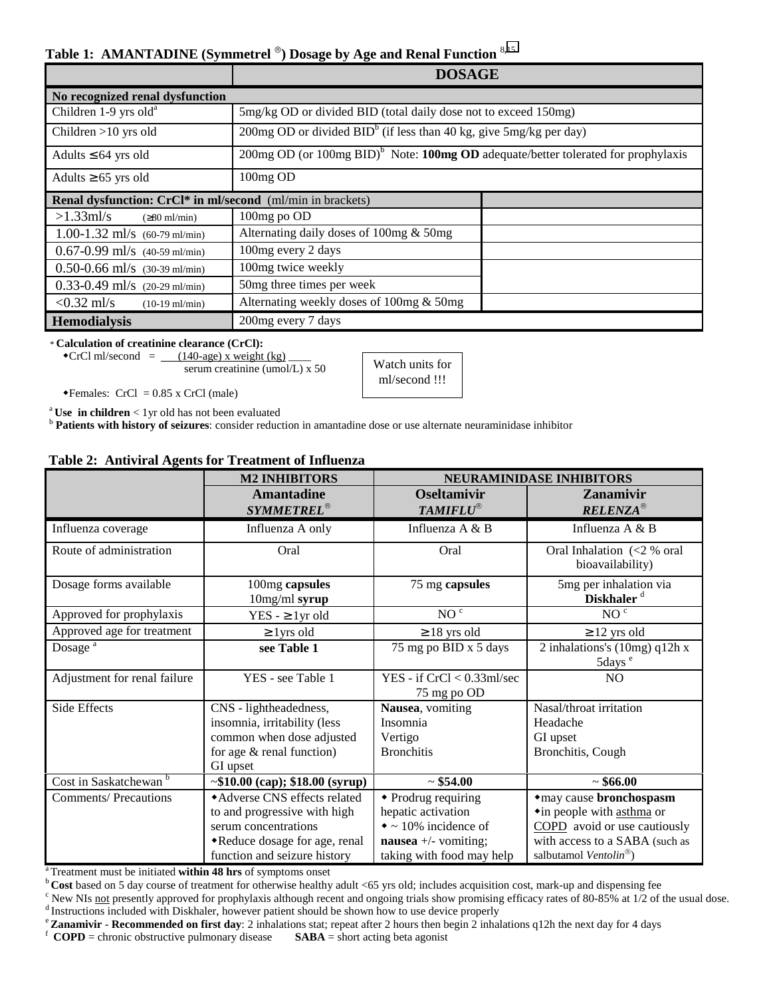#### **Table 1: AMANTADINE (Symmetrel ) Dosage by Age and Renal Function** <sup>8</sup>**,**[15](#page-4-0)

|                                                            | <b>DOSAGE</b>                                                                                     |  |  |  |  |
|------------------------------------------------------------|---------------------------------------------------------------------------------------------------|--|--|--|--|
| No recognized renal dysfunction                            |                                                                                                   |  |  |  |  |
| Children 1-9 yrs old <sup>a</sup>                          | 5mg/kg OD or divided BID (total daily dose not to exceed 150mg)                                   |  |  |  |  |
| Children $>10$ yrs old                                     | $200$ mg OD or divided BID $b$ (if less than 40 kg, give 5mg/kg per day)                          |  |  |  |  |
| Adults $\leq 64$ yrs old                                   | $200mg$ OD (or $100mg$ BID) <sup>b</sup> Note: 100mg OD adequate/better tolerated for prophylaxis |  |  |  |  |
| Adults $\geq 65$ yrs old                                   | 100mg OD                                                                                          |  |  |  |  |
| Renal dysfunction: CrCl* in ml/second (ml/min in brackets) |                                                                                                   |  |  |  |  |
| $>1.33$ ml/s<br>$(280 \text{ ml/min})$                     | 100mg po OD                                                                                       |  |  |  |  |
| 1.00-1.32 ml/s $(60-79 \text{ ml/min})$                    | Alternating daily doses of 100mg $&$ 50mg                                                         |  |  |  |  |
| $0.67 - 0.99$ ml/s $(40 - 59$ ml/min)                      | 100mg every 2 days                                                                                |  |  |  |  |
| $0.50 - 0.66$ ml/s $(30-39)$ ml/min)                       | 100mg twice weekly                                                                                |  |  |  |  |
| $0.33 - 0.49$ ml/s $(20-29)$ ml/min)                       | 50mg three times per week                                                                         |  |  |  |  |
| $< 0.32$ ml/s<br>$(10-19 \text{ ml/min})$                  | Alternating weekly doses of 100mg & 50mg                                                          |  |  |  |  |
| <b>Hemodialysis</b>                                        | 200 mg every 7 days                                                                               |  |  |  |  |

\* **Calculation of creatinine clearance (CrCl):**

 $\text{CrCl}$  ml/second =  $(140\text{-age})$  x weight (kg) serum creatinine (umol/L) x 50

Watch units for ml/second !!!

 $\triangleleft$ Females: CrCl = 0.85 x CrCl (male)

<sup>a</sup> Use in children < 1 yr old has not been evaluated b **Patients with history of seizures**: consider reduction in amantadine dose or use alternate neuraminidase inhibitor

#### **Table 2: Antiviral Agents for Treatment of Influenza**

|                                   | <b>M2 INHIBITORS</b>                                                                                                                                  | <b>NEURAMINIDASE INHIBITORS</b>                                                                                                  |                                                                                                                                                              |
|-----------------------------------|-------------------------------------------------------------------------------------------------------------------------------------------------------|----------------------------------------------------------------------------------------------------------------------------------|--------------------------------------------------------------------------------------------------------------------------------------------------------------|
|                                   | <b>Amantadine</b><br><b>SYMMETREL®</b>                                                                                                                | <b>Oseltamivir</b><br><b>TAMIFLU®</b>                                                                                            | <b>Zanamivir</b><br><b>RELENZA®</b>                                                                                                                          |
| Influenza coverage                | Influenza A only                                                                                                                                      | Influenza $A \& B$                                                                                                               | Influenza $A \& B$                                                                                                                                           |
| Route of administration           | Oral                                                                                                                                                  | Oral                                                                                                                             | Oral Inhalation (<2 % oral<br>bioavailability)                                                                                                               |
| Dosage forms available            | 100mg capsules<br>$10mg/ml$ syrup                                                                                                                     | 75 mg capsules                                                                                                                   | 5mg per inhalation via<br>Diskhaler <sup>d</sup>                                                                                                             |
| Approved for prophylaxis          | YES - $\geq 1$ yr old                                                                                                                                 | NO <sup>c</sup>                                                                                                                  | NO <sup>c</sup>                                                                                                                                              |
| Approved age for treatment        | $\geq$ 1 yrs old                                                                                                                                      | $\geq$ 18 yrs old                                                                                                                | $\geq$ 12 yrs old                                                                                                                                            |
| Dosage <sup>a</sup>               | see Table 1                                                                                                                                           | 75 mg po BID x 5 days                                                                                                            | 2 inhalations's $(10mg)$ q12h x<br>5days <sup>e</sup>                                                                                                        |
| Adjustment for renal failure      | YES - see Table 1                                                                                                                                     | YES - if $CrCl < 0.33$ ml/sec<br>75 mg po OD                                                                                     | N <sub>O</sub>                                                                                                                                               |
| Side Effects                      | CNS - lightheadedness,<br>insomnia, irritability (less<br>common when dose adjusted<br>for age $&$ renal function)<br>GI upset                        | Nausea, vomiting<br>Insomnia<br>Vertigo<br><b>Bronchitis</b>                                                                     | Nasal/throat irritation<br>Headache<br>GI upset<br>Bronchitis, Cough                                                                                         |
| Cost in Saskatchewan <sup>b</sup> | $\sim$ \$10.00 (cap); \$18.00 (syrup)                                                                                                                 | ~554.00                                                                                                                          | ~566.00                                                                                                                                                      |
| <b>Comments/Precautions</b>       | *Adverse CNS effects related<br>to and progressive with high<br>serum concentrations<br>*Reduce dosage for age, renal<br>function and seizure history | • Prodrug requiring<br>hepatic activation<br>$\bullet$ ~ 10% incidence of<br>nausea $+/-$ vomiting;<br>taking with food may help | *may cause bronchospasm<br>•in people with asthma or<br>COPD avoid or use cautiously<br>with access to a SABA (such as<br>salbutamol Ventolin <sup>®</sup> ) |

<sup>a</sup> Treatment must be initiated **within 48 hrs** of symptoms onset<br><sup>b</sup> Cost based on 5 day course of treatment for otherwise healthy adult <65 yrs old; includes acquisition cost, mark-up and dispensing fee

 $\degree$  New NIs <u>not</u> presently approved for prophylaxis although recent and ongoing trials show promising efficacy rates of 80-85% at 1/2 of the usual dose.<br>d Instructions included with Diskhaler, however patient should be

```
<sup>e</sup> Zanamivir - Recommended on first day: 2 inhalations stat; repeat after 2 hours then begin 2 inhalations q12h the next day for 4 days \mathbf{f} COPD = chronic obstructive pulmonary disease SABA = short acting be
```